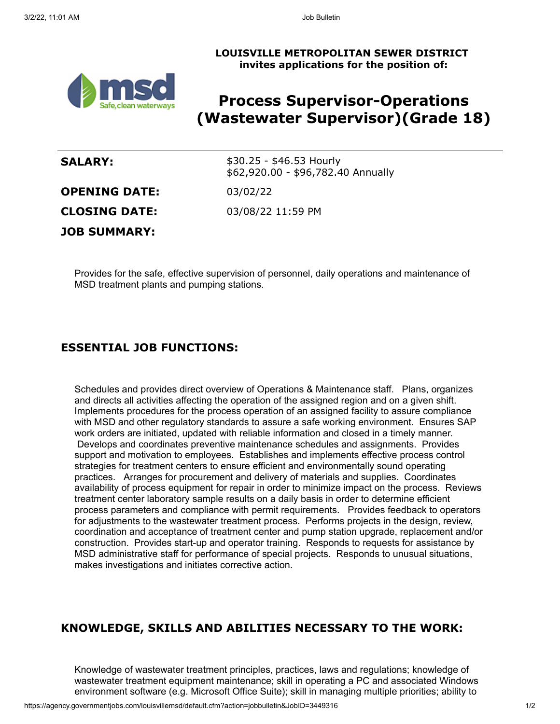#### **LOUISVILLE METROPOLITAN SEWER DISTRICT invites applications for the position of:**



# **Process Supervisor-Operations (Wastewater Supervisor)(Grade 18)**

| <b>SALARY:</b>       | $$30.25 - $46.53$ Hourly<br>\$62,920.00 - \$96,782.40 Annually |
|----------------------|----------------------------------------------------------------|
| <b>OPENING DATE:</b> | 03/02/22                                                       |
| <b>CLOSING DATE:</b> | 03/08/22 11:59 PM                                              |
| <b>JOB SUMMARY:</b>  |                                                                |

Provides for the safe, effective supervision of personnel, daily operations and maintenance of MSD treatment plants and pumping stations.

# **ESSENTIAL JOB FUNCTIONS:**

Schedules and provides direct overview of Operations & Maintenance staff. Plans, organizes and directs all activities affecting the operation of the assigned region and on a given shift. Implements procedures for the process operation of an assigned facility to assure compliance with MSD and other regulatory standards to assure a safe working environment. Ensures SAP work orders are initiated, updated with reliable information and closed in a timely manner. Develops and coordinates preventive maintenance schedules and assignments. Provides support and motivation to employees. Establishes and implements effective process control strategies for treatment centers to ensure efficient and environmentally sound operating practices. Arranges for procurement and delivery of materials and supplies. Coordinates availability of process equipment for repair in order to minimize impact on the process. Reviews treatment center laboratory sample results on a daily basis in order to determine efficient process parameters and compliance with permit requirements. Provides feedback to operators for adjustments to the wastewater treatment process. Performs projects in the design, review, coordination and acceptance of treatment center and pump station upgrade, replacement and/or construction. Provides start-up and operator training. Responds to requests for assistance by MSD administrative staff for performance of special projects. Responds to unusual situations, makes investigations and initiates corrective action.

### **KNOWLEDGE, SKILLS AND ABILITIES NECESSARY TO THE WORK:**

Knowledge of wastewater treatment principles, practices, laws and regulations; knowledge of wastewater treatment equipment maintenance; skill in operating a PC and associated Windows environment software (e.g. Microsoft Office Suite); skill in managing multiple priorities; ability to